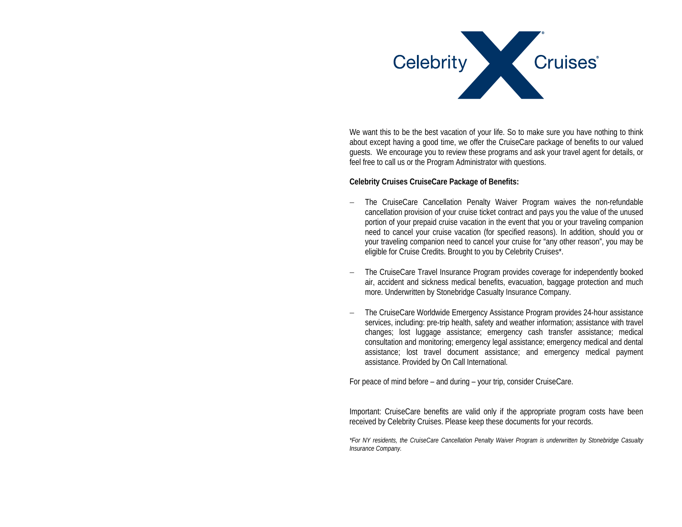

We want this to be the best vacation of your life. So to make sure you have nothing to think about except having a good time, we offer the CruiseCare package of benefits to our valued guests. We encourage you to review these programs and ask your travel agent for details, or feel free to call us or the Program Administrator with questions.

## **Celebrity Cruises CruiseCare Package of Benefits:**

- The CruiseCare Cancellation Penalty Waiver Program waives the non-refundable cancellation provision of your cruise ticket contract and pays you the value of the unused portion of your prepaid cruise vacation in the event that you or your traveling companion need to cancel your cruise vacation (for specified reasons). In addition, should you or your traveling companion need to cancel your cruise for "any other reason", you may be eligible for Cruise Credits. Brought to you by Celebrity Cruises\*.
- − The CruiseCare Travel Insurance Program provides coverage for independently booked air, accident and sickness medical benefits, evacuation, baggage protection and much more. Underwritten by Stonebridge Casualty Insurance Company.
- The CruiseCare Worldwide Emergency Assistance Program provides 24-hour assistance services, including: pre-trip health, safety and weather information; assistance with travel changes; lost luggage assistance; emergency cash transfer assistance; medical consultation and monitoring; emergency legal assistance; emergency medical and dental assistance; lost travel document assistance; and emergency medical payment assistance. Provided by On Call International.

For peace of mind before – and during – your trip, consider CruiseCare.

Important: CruiseCare benefits are valid only if the appropriate program costs have been received by Celebrity Cruises. Please keep these documents for your records.

*\*For NY residents, the CruiseCare Cancellation Penalty Waiver Program is underwritten by Stonebridge Casualty Insurance Company.*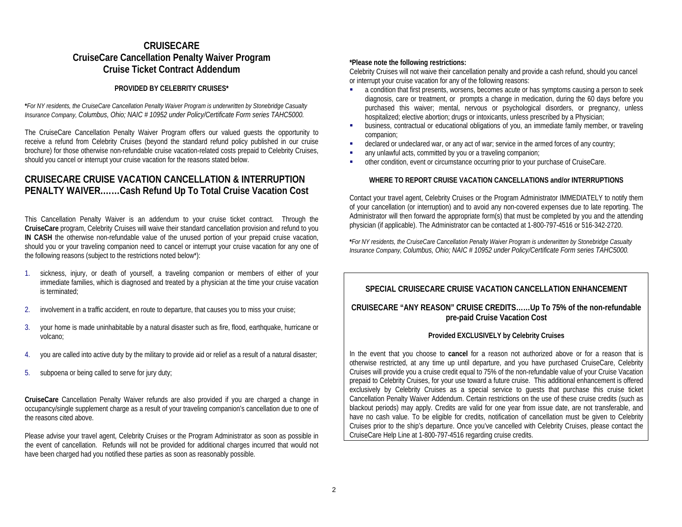# **CRUISECARE CruiseCare Cancellation Penalty Waiver Program Cruise Ticket Contract Addendum**

## **PROVIDED BY CELEBRITY CRUISES\***

**\****For NY residents, the CruiseCare Cancellation Penalty Waiver Program is underwritten by Stonebridge Casualty Insurance Company, Columbus, Ohio; NAIC # 10952 under Policy/Certificate Form series TAHC5000.*

The CruiseCare Cancellation Penalty Waiver Program offers our valued guests the opportunity to receive a refund from Celebrity Cruises (beyond the standard refund policy published in our cruise brochure) for those otherwise non-refundable cruise vacation-related costs prepaid to Celebrity Cruises, should you cancel or interrupt your cruise vacation for the reasons stated below.

# **CRUISECARE CRUISE VACATION CANCELLATION & INTERRUPTION PENALTY WAIVER.……Cash Refund Up To Total Cruise Vacation Cost**

This Cancellation Penalty Waiver is an addendum to your cruise ticket contract. Through the **CruiseCare** program, Celebrity Cruises will waive their standard cancellation provision and refund to you **IN CASH** the otherwise non-refundable value of the unused portion of your prepaid cruise vacation, should you or your traveling companion need to cancel or interrupt your cruise vacation for any one of the following reasons (subject to the restrictions noted below\*):

- 1. sickness, injury, or death of yourself, a traveling companion or members of either of your immediate families, which is diagnosed and treated by a physician at the time your cruise vacation is terminated;
- 2.involvement in a traffic accident, en route to departure, that causes you to miss your cruise;
- 3. your home is made uninhabitable by a natural disaster such as fire, flood, earthquake, hurricane or volcano;
- 4.you are called into active duty by the military to provide aid or relief as a result of a natural disaster;
- 5.subpoena or being called to serve for jury duty;

**CruiseCare** Cancellation Penalty Waiver refunds are also provided if you are charged a change in occupancy/single supplement charge as a result of your traveling companion's cancellation due to one of the reasons cited above.

Please advise your travel agent, Celebrity Cruises or the Program Administrator as soon as possible in the event of cancellation. Refunds will not be provided for additional charges incurred that would not have been charged had you notified these parties as soon as reasonably possible.

## **\*Please note the following restrictions:**

Celebrity Cruises will not waive their cancellation penalty and provide a cash refund, should you cancel or interrupt your cruise vacation for any of the following reasons:

- L a condition that first presents, worsens, becomes acute or has symptoms causing a person to seek diagnosis, care or treatment, or prompts a change in medication, during the 60 days before you purchased this waiver; mental, nervous or psychological disorders, or pregnancy, unless hospitalized; elective abortion; drugs or intoxicants, unless prescribed by a Physician;
- ٠. business, contractual or educational obligations of you, an immediate family member, or traveling companion;
- ä. declared or undeclared war, or any act of war; service in the armed forces of any country;
- L any unlawful acts, committed by you or a traveling companion;
- L other condition, event or circumstance occurring prior to your purchase of CruiseCare.

## **WHERE TO REPORT CRUISE VACATION CANCELLATIONS and/or INTERRUPTIONS**

Contact your travel agent, Celebrity Cruises or the Program Administrator IMMEDIATELY to notify them of your cancellation (or interruption) and to avoid any non-covered expenses due to late reporting. The Administrator will then forward the appropriate form(s) that must be completed by you and the attending physician (if applicable). The Administrator can be contacted at 1-800-797-4516 or 516-342-2720.

**\****For NY residents, the CruiseCare Cancellation Penalty Waiver Program is underwritten by Stonebridge Casualty Insurance Company, Columbus, Ohio; NAIC # 10952 under Policy/Certificate Form series TAHC5000.* 

## **SPECIAL CRUISECARE CRUISE VACATION CANCELLATION ENHANCEMENT**

## **CRUISECARE "ANY REASON" CRUISE CREDITS……Up To 75% of the non-refundable pre-paid Cruise Vacation Cost**

## **Provided EXCLUSIVELY by Celebrity Cruises**

In the event that you choose to **cancel** for a reason not authorized above or for a reason that is otherwise restricted, at any time up until departure, and you have purchased CruiseCare, Celebrity Cruises will provide you a cruise credit equal to 75% of the non-refundable value of your Cruise Vacation prepaid to Celebrity Cruises, for your use toward a future cruise. This additional enhancement is offered exclusively by Celebrity Cruises as a special service to guests that purchase this cruise ticket Cancellation Penalty Waiver Addendum. Certain restrictions on the use of these cruise credits (such as blackout periods) may apply. Credits are valid for one year from issue date, are not transferable, and have no cash value. To be eligible for credits, notification of cancellation must be given to Celebrity Cruises prior to the ship's departure. Once you've cancelled with Celebrity Cruises, please contact the CruiseCare Help Line at 1-800-797-4516 regarding cruise credits.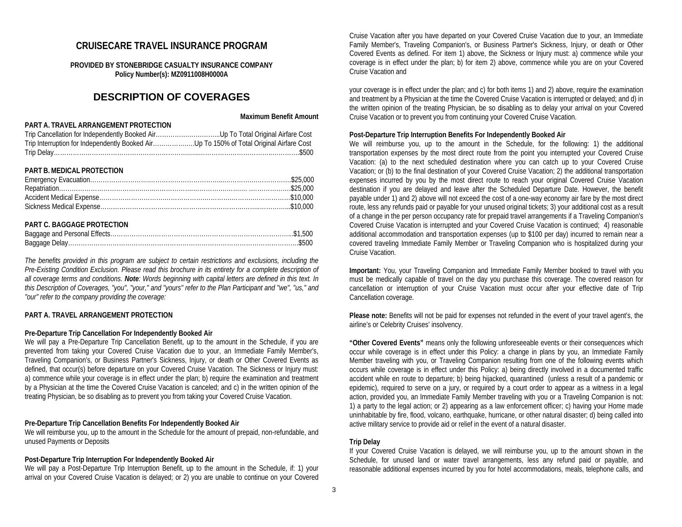# **CRUISECARE TRAVEL INSURANCE PROGRAM**

**PROVIDED BY STONEBRIDGE CASUALTY INSURANCE COMPANY Policy Number(s): MZ0911008H0000A**

## **DESCRIPTION OF COVERAGES**

**Maximum Benefit Amount** 

| PART A. TRAVEL ARRANGEMENT PROTECTION |  |
|---------------------------------------|--|
|                                       |  |
|                                       |  |
|                                       |  |

#### **PART B. MEDICAL PROTECTION**

## **PART C. BAGGAGE PROTECTION**

*The benefits provided in this program are subject to certain restrictions and exclusions, including the Pre-Existing Condition Exclusion. Please read this brochure in its entirety for a complete description of all coverage terms and conditions. Note: Words beginning with capital letters are defined in this text. In this Description of Coverages, "you", "your," and "yours" refer to the Plan Participant and "we", "us," and "our" refer to the company providing the coverage:* 

#### **PART A. TRAVEL ARRANGEMENT PROTECTION**

#### **Pre-Departure Trip Cancellation For Independently Booked Air**

We will pay a Pre-Departure Trip Cancellation Benefit, up to the amount in the Schedule, if you are prevented from taking your Covered Cruise Vacation due to your, an Immediate Family Member's, Traveling Companion's, or Business Partner's Sickness, Injury, or death or Other Covered Events as defined, that occur(s) before departure on your Covered Cruise Vacation. The Sickness or Injury must: a) commence while your coverage is in effect under the plan; b) require the examination and treatment by a Physician at the time the Covered Cruise Vacation is canceled; and c) in the written opinion of the treating Physician, be so disabling as to prevent you from taking your Covered Cruise Vacation.

#### **Pre-Departure Trip Cancellation Benefits For Independently Booked Air**

We will reimburse you, up to the amount in the Schedule for the amount of prepaid, non-refundable, and unused Payments or Deposits

#### **Post-Departure Trip Interruption For Independently Booked Air**

We will pay a Post-Departure Trip Interruption Benefit, up to the amount in the Schedule, if: 1) your arrival on your Covered Cruise Vacation is delayed; or 2) you are unable to continue on your Covered

Cruise Vacation after you have departed on your Covered Cruise Vacation due to your, an Immediate Family Member's, Traveling Companion's, or Business Partner's Sickness, Injury, or death or Other Covered Events as defined. For item 1) above, the Sickness or Injury must: a) commence while your coverage is in effect under the plan; b) for item 2) above, commence while you are on your Covered Cruise Vacation and

your coverage is in effect under the plan; and c) for both items 1) and 2) above, require the examination and treatment by a Physician at the time the Covered Cruise Vacation is interrupted or delayed; and d) in the written opinion of the treating Physician, be so disabling as to delay your arrival on your Covered Cruise Vacation or to prevent you from continuing your Covered Cruise Vacation.

#### **Post-Departure Trip Interruption Benefits For Independently Booked Air**

We will reimburse you, up to the amount in the Schedule, for the following: 1) the additional transportation expenses by the most direct route from the point you interrupted your Covered Cruise Vacation: (a) to the next scheduled destination where you can catch up to your Covered Cruise Vacation; or (b) to the final destination of your Covered Cruise Vacation; 2) the additional transportation expenses incurred by you by the most direct route to reach your original Covered Cruise Vacation destination if you are delayed and leave after the Scheduled Departure Date. However, the benefit payable under 1) and 2) above will not exceed the cost of a one-way economy air fare by the most direct route, less any refunds paid or payable for your unused original tickets; 3) your additional cost as a result of a change in the per person occupancy rate for prepaid travel arrangements if a Traveling Companion's Covered Cruise Vacation is interrupted and your Covered Cruise Vacation is continued; 4) reasonable additional accommodation and transportation expenses (up to \$100 per day) incurred to remain near a covered traveling Immediate Family Member or Traveling Companion who is hospitalized during your Cruise Vacation.

**Important:** You, your Traveling Companion and Immediate Family Member booked to travel with you must be medically capable of travel on the day you purchase this coverage. The covered reason for cancellation or interruption of your Cruise Vacation must occur after your effective date of Trip Cancellation coverage.

**Please note:** Benefits will not be paid for expenses not refunded in the event of your travel agent's, the airline's or Celebrity Cruises' insolvency.

**"Other Covered Events"** means only the following unforeseeable events or their consequences which occur while coverage is in effect under this Policy: a change in plans by you, an Immediate Family Member traveling with you, or Traveling Companion resulting from one of the following events which occurs while coverage is in effect under this Policy: a) being directly involved in a documented traffic accident while en route to departure; b) being hijacked, quarantined (unless a result of a pandemic or epidemic), required to serve on a jury, or required by a court order to appear as a witness in a legal action, provided you, an Immediate Family Member traveling with you or a Traveling Companion is not: 1) a party to the legal action; or 2) appearing as a law enforcement officer; c) having your Home made uninhabitable by fire, flood, volcano, earthquake, hurricane, or other natural disaster; d) being called into active military service to provide aid or relief in the event of a natural disaster.

### **Trip Delay**

If your Covered Cruise Vacation is delayed, we will reimburse you, up to the amount shown in the Schedule, for unused land or water travel arrangements, less any refund paid or payable, and reasonable additional expenses incurred by you for hotel accommodations, meals, telephone calls, and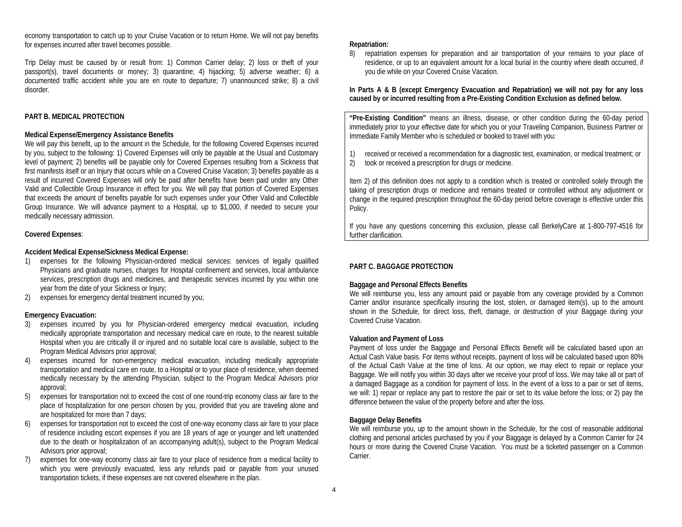economy transportation to catch up to your Cruise Vacation or to return Home. We will not pay benefits for expenses incurred after travel becomes possible.

Trip Delay must be caused by or result from: 1) Common Carrier delay; 2) loss or theft of your passport(s), travel documents or money; 3) quarantine; 4) hijacking; 5) adverse weather; 6) a documented traffic accident while you are en route to departure; 7) unannounced strike; 8) a civil disorder.

## **PART B. MEDICAL PROTECTION**

#### **Medical Expense/Emergency Assistance Benefits**

We will pay this benefit, up to the amount in the Schedule, for the following Covered Expenses incurred by you, subject to the following: 1) Covered Expenses will only be payable at the Usual and Customary level of payment; 2) benefits will be payable only for Covered Expenses resulting from a Sickness that first manifests itself or an Injury that occurs while on a Covered Cruise Vacation; 3) benefits payable as a result of incurred Covered Expenses will only be paid after benefits have been paid under any Other Valid and Collectible Group Insurance in effect for you. We will pay that portion of Covered Expenses that exceeds the amount of benefits payable for such expenses under your Other Valid and Collectible Group Insurance. We will advance payment to a Hospital, up to \$1,000, if needed to secure your medically necessary admission.

## **Covered Expenses**:

### **Accident Medical Expense/Sickness Medical Expense:**

- 1) expenses for the following Physician-ordered medical services: services of legally qualified Physicians and graduate nurses, charges for Hospital confinement and services, local ambulance services, prescription drugs and medicines, and therapeutic services incurred by you within one year from the date of your Sickness or Injury;
- 2) expenses for emergency dental treatment incurred by you;

## **Emergency Evacuation:**

- 3) expenses incurred by you for Physician-ordered emergency medical evacuation, including medically appropriate transportation and necessary medical care en route, to the nearest suitable Hospital when you are critically ill or injured and no suitable local care is available, subject to the Program Medical Advisors prior approval;
- 4) expenses incurred for non-emergency medical evacuation, including medically appropriate transportation and medical care en route, to a Hospital or to your place of residence, when deemed medically necessary by the attending Physician, subject to the Program Medical Advisors prior approval;
- 5) expenses for transportation not to exceed the cost of one round-trip economy class air fare to the place of hospitalization for one person chosen by you, provided that you are traveling alone and are hospitalized for more than 7 days;
- 6) expenses for transportation not to exceed the cost of one-way economy class air fare to your place of residence including escort expenses if you are 18 years of age or younger and left unattended due to the death or hospitalization of an accompanying adult(s), subject to the Program Medical Advisors prior approval;
- 7) expenses for one-way economy class air fare to your place of residence from a medical facility to which you were previously evacuated, less any refunds paid or payable from your unused transportation tickets, if these expenses are not covered elsewhere in the plan.

#### **Repatriation:**

8) repatriation expenses for preparation and air transportation of your remains to your place of residence, or up to an equivalent amount for a local burial in the country where death occurred, if you die while on your Covered Cruise Vacation.

## **In Parts A & B (except Emergency Evacuation and Repatriation) we will not pay for any loss caused by or incurred resulting from a Pre-Existing Condition Exclusion as defined below.**

**"Pre-Existing Condition"** means an illness, disease, or other condition during the 60-day period immediately prior to your effective date for which you or your Traveling Companion, Business Partner or Immediate Family Member who is scheduled or booked to travel with you:

- 1) received or received a recommendation for a diagnostic test, examination, or medical treatment; or 2) took or received a prescription for drugs or medicine.
- Item 2) of this definition does not apply to a condition which is treated or controlled solely through the taking of prescription drugs or medicine and remains treated or controlled without any adjustment or change in the required prescription throughout the 60-day period before coverage is effective under this Policy.

If you have any questions concerning this exclusion, please call BerkelyCare at 1-800-797-4516 for further clarification.

## **PART C. BAGGAGE PROTECTION**

#### **Baggage and Personal Effects Benefits**

We will reimburse you, less any amount paid or payable from any coverage provided by a Common Carrier and/or insurance specifically insuring the lost, stolen, or damaged item(s), up to the amount shown in the Schedule, for direct loss, theft, damage, or destruction of your Baggage during your Covered Cruise Vacation.

#### **Valuation and Payment of Loss**

Payment of loss under the Baggage and Personal Effects Benefit will be calculated based upon an Actual Cash Value basis. For items without receipts, payment of loss will be calculated based upon 80% of the Actual Cash Value at the time of loss. At our option, we may elect to repair or replace your Baggage. We will notify you within 30 days after we receive your proof of loss. We may take all or part of a damaged Baggage as a condition for payment of loss. In the event of a loss to a pair or set of items, we will: 1) repair or replace any part to restore the pair or set to its value before the loss; or 2) pay the difference between the value of the property before and after the loss.

#### **Baggage Delay Benefits**

We will reimburse you, up to the amount shown in the Schedule, for the cost of reasonable additional clothing and personal articles purchased by you if your Baggage is delayed by a Common Carrier for 24 hours or more during the Covered Cruise Vacation. You must be a ticketed passenger on a Common Carrier.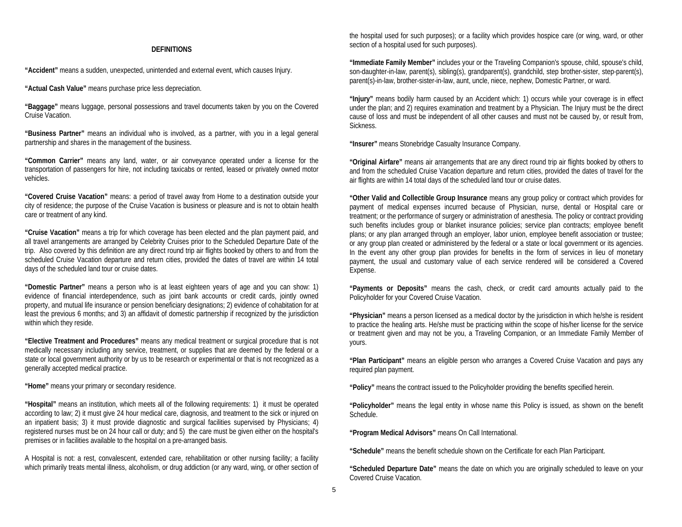#### **DEFINITIONS**

**"Accident"** means a sudden, unexpected, unintended and external event, which causes Injury.

**"Actual Cash Value"** means purchase price less depreciation.

**"Baggage"** means luggage, personal possessions and travel documents taken by you on the Covered Cruise Vacation.

**"Business Partner"** means an individual who is involved, as a partner, with you in a legal general partnership and shares in the management of the business.

**"Common Carrier"** means any land, water, or air conveyance operated under a license for the transportation of passengers for hire, not including taxicabs or rented, leased or privately owned motor vehicles.

**"Covered Cruise Vacation"** means: a period of travel away from Home to a destination outside your city of residence; the purpose of the Cruise Vacation is business or pleasure and is not to obtain health care or treatment of any kind.

**"Cruise Vacation"** means a trip for which coverage has been elected and the plan payment paid, and all travel arrangements are arranged by Celebrity Cruises prior to the Scheduled Departure Date of the trip. Also covered by this definition are any direct round trip air flights booked by others to and from the scheduled Cruise Vacation departure and return cities, provided the dates of travel are within 14 total days of the scheduled land tour or cruise dates.

**"Domestic Partner"** means a person who is at least eighteen years of age and you can show: 1) evidence of financial interdependence, such as joint bank accounts or credit cards, jointly owned property, and mutual life insurance or pension beneficiary designations; 2) evidence of cohabitation for at least the previous 6 months; and 3) an affidavit of domestic partnership if recognized by the jurisdiction within which they reside.

**"Elective Treatment and Procedures"** means any medical treatment or surgical procedure that is not medically necessary including any service, treatment, or supplies that are deemed by the federal or a state or local government authority or by us to be research or experimental or that is not recognized as a generally accepted medical practice.

**"Home"** means your primary or secondary residence.

**"Hospital"** means an institution, which meets all of the following requirements: 1) it must be operated according to law; 2) it must give 24 hour medical care, diagnosis, and treatment to the sick or injured on an inpatient basis; 3) it must provide diagnostic and surgical facilities supervised by Physicians; 4) registered nurses must be on 24 hour call or duty; and 5) the care must be given either on the hospital's premises or in facilities available to the hospital on a pre-arranged basis.

A Hospital is not: a rest, convalescent, extended care, rehabilitation or other nursing facility; a facility which primarily treats mental illness, alcoholism, or drug addiction (or any ward, wing, or other section of

the hospital used for such purposes); or a facility which provides hospice care (or wing, ward, or other section of a hospital used for such purposes).

**"Immediate Family Member"** includes your or the Traveling Companion's spouse, child, spouse's child, son-daughter-in-law, parent(s), sibling(s), grandparent(s), grandchild, step brother-sister, step-parent(s), parent(s)-in-law, brother-sister-in-law, aunt, uncle, niece, nephew, Domestic Partner, or ward.

**"Injury"** means bodily harm caused by an Accident which: 1) occurs while your coverage is in effect under the plan; and 2) requires examination and treatment by a Physician. The Injury must be the direct cause of loss and must be independent of all other causes and must not be caused by, or result from, Sickness.

**"Insurer"** means Stonebridge Casualty Insurance Company.

**"Original Airfare"** means air arrangements that are any direct round trip air flights booked by others to and from the scheduled Cruise Vacation departure and return cities, provided the dates of travel for the air flights are within 14 total days of the scheduled land tour or cruise dates.

**"Other Valid and Collectible Group Insurance** means any group policy or contract which provides for payment of medical expenses incurred because of Physician, nurse, dental or Hospital care or treatment; or the performance of surgery or administration of anesthesia. The policy or contract providing such benefits includes group or blanket insurance policies; service plan contracts; employee benefit plans; or any plan arranged through an employer, labor union, employee benefit association or trustee; or any group plan created or administered by the federal or a state or local government or its agencies. In the event any other group plan provides for benefits in the form of services in lieu of monetary payment, the usual and customary value of each service rendered will be considered a Covered Expense.

**"Payments or Deposits"** means the cash, check, or credit card amounts actually paid to the Policyholder for your Covered Cruise Vacation.

**"Physician"** means a person licensed as a medical doctor by the jurisdiction in which he/she is resident to practice the healing arts. He/she must be practicing within the scope of his/her license for the service or treatment given and may not be you, a Traveling Companion, or an Immediate Family Member of yours.

**"Plan Participant"** means an eligible person who arranges a Covered Cruise Vacation and pays any required plan payment.

**"Policy"** means the contract issued to the Policyholder providing the benefits specified herein.

**"Policyholder"** means the legal entity in whose name this Policy is issued, as shown on the benefit Schedule.

**"Program Medical Advisors"** means On Call International.

**"Schedule"** means the benefit schedule shown on the Certificate for each Plan Participant.

**"Scheduled Departure Date"** means the date on which you are originally scheduled to leave on your Covered Cruise Vacation.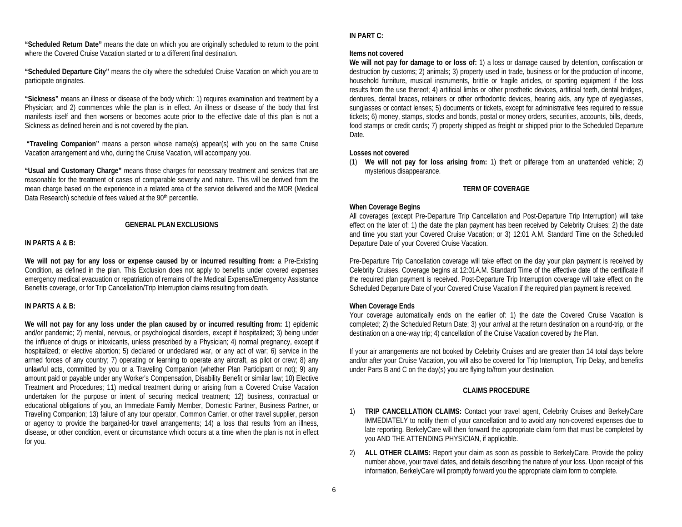**"Scheduled Return Date"** means the date on which you are originally scheduled to return to the point where the Covered Cruise Vacation started or to a different final destination.

**"Scheduled Departure City"** means the city where the scheduled Cruise Vacation on which you are to participate originates.

**"Sickness"** means an illness or disease of the body which: 1) requires examination and treatment by a Physician; and 2) commences while the plan is in effect. An illness or disease of the body that first manifests itself and then worsens or becomes acute prior to the effective date of this plan is not a Sickness as defined herein and is not covered by the plan.

 **"Traveling Companion"** means a person whose name(s) appear(s) with you on the same Cruise Vacation arrangement and who, during the Cruise Vacation, will accompany you.

**"Usual and Customary Charge"** means those charges for necessary treatment and services that are reasonable for the treatment of cases of comparable severity and nature. This will be derived from the mean charge based on the experience in a related area of the service delivered and the MDR (Medical Data Research) schedule of fees valued at the 90<sup>th</sup> percentile.

#### **GENERAL PLAN EXCLUSIONS**

## **IN PARTS A & B:**

**We will not pay for any loss or expense caused by or incurred resulting from:** a Pre-Existing Condition, as defined in the plan*.* This Exclusion does not apply to benefits under covered expenses emergency medical evacuation or repatriation of remains of the Medical Expense/Emergency Assistance Benefits coverage, or for Trip Cancellation/Trip Interruption claims resulting from death.

## **IN PARTS A & B:**

**We will not pay for any loss under the plan caused by or incurred resulting from:** 1) epidemic and/or pandemic; 2) mental, nervous, or psychological disorders, except if hospitalized; 3) being under the influence of drugs or intoxicants, unless prescribed by a Physician; 4) normal pregnancy, except if hospitalized; or elective abortion; 5) declared or undeclared war, or any act of war; 6) service in the armed forces of any country; 7) operating or learning to operate any aircraft, as pilot or crew; 8) any unlawful acts, committed by you or a Traveling Companion (whether Plan Participant or not); 9) any amount paid or payable under any Worker's Compensation, Disability Benefit or similar law; 10) Elective Treatment and Procedures; 11) medical treatment during or arising from a Covered Cruise Vacation undertaken for the purpose or intent of securing medical treatment; 12) business, contractual or educational obligations of you, an Immediate Family Member, Domestic Partner, Business Partner, or Traveling Companion; 13) failure of any tour operator, Common Carrier, or other travel supplier, person or agency to provide the bargained-for travel arrangements; 14) a loss that results from an illness, disease, or other condition, event or circumstance which occurs at a time when the plan is not in effect for you.

## **IN PART C:**

#### **Items not covered**

**We will not pay for damage to or loss of:** 1) a loss or damage caused by detention, confiscation or destruction by customs; 2) animals; 3) property used in trade, business or for the production of income, household furniture, musical instruments, brittle or fragile articles, or sporting equipment if the loss results from the use thereof; 4) artificial limbs or other prosthetic devices, artificial teeth, dental bridges, dentures, dental braces, retainers or other orthodontic devices, hearing aids, any type of eyeglasses, sunglasses or contact lenses; 5) documents or tickets, except for administrative fees required to reissue tickets; 6) money, stamps, stocks and bonds, postal or money orders, securities, accounts, bills, deeds, food stamps or credit cards; 7) property shipped as freight or shipped prior to the Scheduled Departure Date.

#### **Losses not covered**

(1) **We will not pay for loss arising from:** 1) theft or pilferage from an unattended vehicle; 2) mysterious disappearance.

## **TERM OF COVERAGE**

## **When Coverage Begins**

All coverages (except Pre-Departure Trip Cancellation and Post-Departure Trip Interruption) will take effect on the later of: 1) the date the plan payment has been received by Celebrity Cruises; 2) the date and time you start your Covered Cruise Vacation; or 3) 12:01 A.M. Standard Time on the Scheduled Departure Date of your Covered Cruise Vacation.

Pre-Departure Trip Cancellation coverage will take effect on the day your plan payment is received by Celebrity Cruises. Coverage begins at 12:01A.M. Standard Time of the effective date of the certificate if the required plan payment is received. Post-Departure Trip Interruption coverage will take effect on the Scheduled Departure Date of your Covered Cruise Vacation if the required plan payment is received.

#### **When Coverage Ends**

Your coverage automatically ends on the earlier of: 1) the date the Covered Cruise Vacation is completed; 2) the Scheduled Return Date; 3) your arrival at the return destination on a round-trip, or the destination on a one-way trip; 4) cancellation of the Cruise Vacation covered by the Plan.

If your air arrangements are not booked by Celebrity Cruises and are greater than 14 total days before and/or after your Cruise Vacation, you will also be covered for Trip Interruption, Trip Delay, and benefits under Parts B and C on the day(s) you are flying to/from your destination.

## **CLAIMS PROCEDURE**

- 1) **TRIP CANCELLATION CLAIMS:** Contact your travel agent, Celebrity Cruises and BerkelyCare IMMEDIATELY to notify them of your cancellation and to avoid any non-covered expenses due to late reporting. BerkelyCare will then forward the appropriate claim form that must be completed by you AND THE ATTENDING PHYSICIAN, if applicable.
- 2) **ALL OTHER CLAIMS:** Report your claim as soon as possible to BerkelyCare. Provide the policy number above, your travel dates, and details describing the nature of your loss. Upon receipt of this information, BerkelyCare will promptly forward you the appropriate claim form to complete.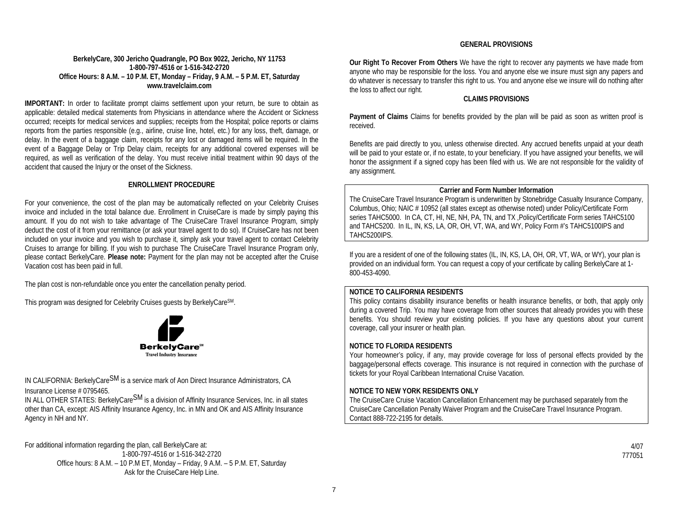## **GENERAL PROVISIONS**

## **BerkelyCare, 300 Jericho Quadrangle, PO Box 9022, Jericho, NY 11753 1-800-797-4516 or 1-516-342-2720 Office Hours: 8 A.M. – 10 P.M. ET, Monday – Friday, 9 A.M. – 5 P.M. ET, Saturday www.travelclaim.com**

**IMPORTANT:** In order to facilitate prompt claims settlement upon your return, be sure to obtain as applicable: detailed medical statements from Physicians in attendance where the Accident or Sickness occurred; receipts for medical services and supplies; receipts from the Hospital; police reports or claims reports from the parties responsible (e.g., airline, cruise line, hotel, etc.) for any loss, theft, damage, or delay. In the event of a baggage claim, receipts for any lost or damaged items will be required. In the event of a Baggage Delay or Trip Delay claim, receipts for any additional covered expenses will be required, as well as verification of the delay. You must receive initial treatment within 90 days of the accident that caused the Injury or the onset of the Sickness.

#### **ENROLLMENT PROCEDURE**

For your convenience, the cost of the plan may be automatically reflected on your Celebrity Cruises invoice and included in the total balance due. Enrollment in CruiseCare is made by simply paying this amount. If you do not wish to take advantage of The CruiseCare Travel Insurance Program, simply deduct the cost of it from your remittance (or ask your travel agent to do so). If CruiseCare has not been included on your invoice and you wish to purchase it, simply ask your travel agent to contact Celebrity Cruises to arrange for billing. If you wish to purchase The CruiseCare Travel Insurance Program only, please contact BerkelyCare. **Please note:** Payment for the plan may not be accepted after the Cruise Vacation cost has been paid in full.

The plan cost is non-refundable once you enter the cancellation penalty period.

This program was designed for Celebrity Cruises guests by BerkelyCareSM.



IN CALIFORNIA: BerkelyCare<sup>SM</sup> is a service mark of Aon Direct Insurance Administrators, CA Insurance License # 0795465.

IN ALL OTHER STATES: BerkelyCare<sup>SM</sup> is a division of Affinity Insurance Services, Inc. in all states other than CA, except: AIS Affinity Insurance Agency, Inc. in MN and OK and AIS Affinity Insurance Agency in NH and NY.

For additional information regarding the plan, call BerkelyCare at: 1-800-797-4516 or 1-516-342-2720 Office hours: 8 A.M. – 10 P.M ET, Monday – Friday, 9 A.M. – 5 P.M. ET, Saturday Ask for the CruiseCare Help Line.

**Our Right To Recover From Others** We have the right to recover any payments we have made from anyone who may be responsible for the loss. You and anyone else we insure must sign any papers and do whatever is necessary to transfer this right to us. You and anyone else we insure will do nothing after the loss to affect our right.

#### **CLAIMS PROVISIONS**

**Payment of Claims** Claims for benefits provided by the plan will be paid as soon as written proof is received.

Benefits are paid directly to you, unless otherwise directed. Any accrued benefits unpaid at your death will be paid to your estate or, if no estate, to your beneficiary. If you have assigned your benefits, we will honor the assignment if a signed copy has been filed with us. We are not responsible for the validity of any assignment.

#### **Carrier and Form Number Information**

The CruiseCare Travel Insurance Program is underwritten by Stonebridge Casualty Insurance Company, Columbus, Ohio; NAIC # 10952 (all states except as otherwise noted) under Policy/Certificate Form series TAHC5000. In CA, CT, HI, NE, NH, PA, TN, and TX ,Policy/Certificate Form series TAHC5100 and TAHC5200. In IL, IN, KS, LA, OR, OH, VT, WA, and WY, Policy Form #'s TAHC5100IPS and TAHC5200IPS.

If you are a resident of one of the following states (IL, IN, KS, LA, OH, OR, VT, WA, or WY), your plan is provided on an individual form. You can request a copy of your certificate by calling BerkelyCare at 1- 800-453-4090.

#### **NOTICE TO CALIFORNIA RESIDENTS**

This policy contains disability insurance benefits or health insurance benefits, or both, that apply only during a covered Trip. You may have coverage from other sources that already provides you with these benefits. You should review your existing policies. If you have any questions about your current coverage, call your insurer or health plan.

#### **NOTICE TO FLORIDA RESIDENTS**

Your homeowner's policy, if any, may provide coverage for loss of personal effects provided by the baggage/personal effects coverage. This insurance is not required in connection with the purchase of tickets for your Royal Caribbean International Cruise Vacation.

#### **NOTICE TO NEW YORK RESIDENTS ONLY**

The CruiseCare Cruise Vacation Cancellation Enhancement may be purchased separately from the CruiseCare Cancellation Penalty Waiver Program and the CruiseCare Travel Insurance Program. Contact 888-722-2195 for details.

> 4/07 777051